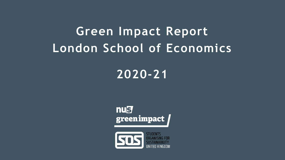# **Green Impact Report London School of Economics**

### **2020-21**



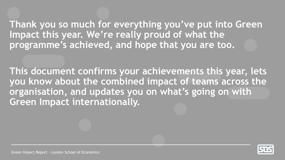**Thank you so much for everything you've put into Green Impact this year. We're really proud of what the programme's achieved, and hope that you are too.** 

**This document confirms your achievements this year, lets you know about the combined impact of teams across the organisation, and updates you on what's going on with Green Impact internationally.**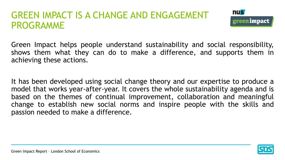#### GREEN IMPACT IS A CHANGE AND ENGAGEMENT PROGRAMME



Green Impact helps people understand sustainability and social responsibility, shows them what they can do to make a difference, and supports them in achieving these actions.

It has been developed using social change theory and our expertise to produce a model that works year-after-year. It covers the whole sustainability agenda and is based on the themes of continual improvement, collaboration and meaningful change to establish new social norms and inspire people with the skills and passion needed to make a difference.

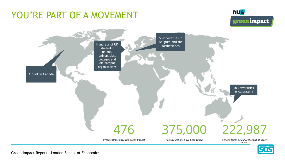### YOU'RE PART OF A MOVEMENT

#### **nus** greenimpact



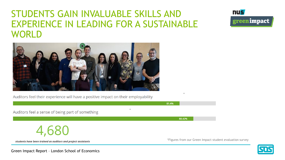#### STUDENTS GAIN INVALUABLE SKILLS AND EXPERIENCE IN LEADING FOR A SUSTAINABLE WORLD

\*





Auditors feel their experience will have a positive impact on their employability

Auditors feel a sense of being part of something



students have been trained as auditors and project assistants

\*Figures from our Green Impact student evaluation survey

\*

88.42%

81.4%

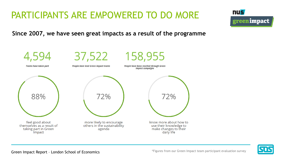### PARTICIPANTS ARE EMPOWERED TO DO MORE



**Since 2007, we have seen great impacts as a result of the programme**





Green Impact Report - London School of Economics **Figures 1998** \*Figures from our Green Impact team participant evaluation survey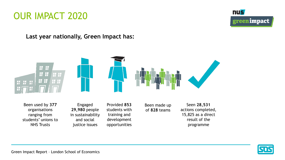



**Last year nationally, Green Impact has:**



Been used by **377** organisations ranging from students' unions to NHS Trusts

Engaged **29,980** people in sustainability and social justice issues

Provided **853** students with training and development opportunities

Been made up of **828** teams

Seen **28,531** actions completed, 15,825 as a direct result of the programme

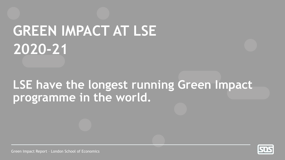# **GREEN IMPACT AT LSE 2020-21**

### **LSE have the longest running Green Impact programme in the world.**

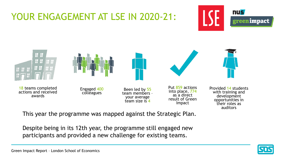### YOUR ENGAGEMENT AT LSE IN 2020-21:





This year the programme was mapped against the Strategic Plan.

Despite being in its 12th year, the programme still engaged new participants and provided a new challenge for existing teams.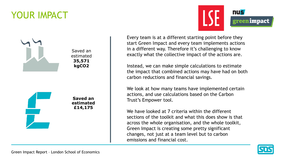### YOUR IMPACT





Every team is at a different starting point before they start Green Impact and every team implements actions in a different way. Therefore it's challenging to know exactly what the collective impact of the actions are.

Instead, we can make simple calculations to estimate the impact that combined actions may have had on both carbon reductions and financial savings.

We look at how many teams have implemented certain actions, and use calculations based on the Carbon Trust's Empower tool.

We have looked at 7 criteria within the different sections of the toolkit and what this does show is that across the whole organisation, and the whole toolkit, Green Impact is creating some pretty significant changes, not just at a team level but to carbon emissions and financial cost.

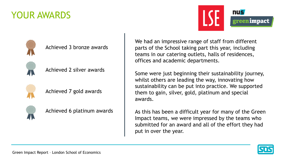#### YOUR AWARDS





Achieved 3 bronze awards



Achieved 2 silver awards



Achieved 7 gold awards



Achieved 6 platinum awards

We had an impressive range of staff from different parts of the School taking part this year, including teams in our catering outlets, halls of residences, offices and academic departments.

Some were just beginning their sustainability journey, whilst others are leading the way, innovating how sustainability can be put into practice. We supported them to gain, silver, gold, platinum and special awards.

As this has been a difficult year for many of the Green Impact teams, we were impressed by the teams who submitted for an award and all of the effort they had put in over the year.

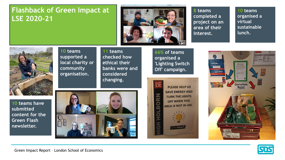#### **Flashback of Green Impact at LSE 2020-21**



**8 teams completed a project on an area of their interest.**

**10 teams organised a virtual sustainable lunch.**



**10 teams have submitted content for the Green Flash newsletter.**

**10 teams supported a local charity or community organisation.**

**11 teams checked how ethical their banks were and considered changing.**

**66% of teams organised a 'Lighting Switch Off' campaign.**





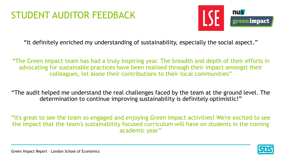### STUDENT AUDITOR FEEDBACK



"It definitely enriched my understanding of sustainability, especially the social aspect."

*"*The Green Impact team has had a truly inspiring year. The breadth and depth of their efforts in advocating for sustainable practices have been realised through their impact amongst their colleagues, let alone their contributions to their local communities"

"The audit helped me understand the real challenges faced by the team at the ground level. The determination to continue improving sustainability is definitely optimistic!"

"It's great to see the team so engaged and enjoying Green Impact activities! We're excited to see the impact that the team's sustainability focused curriculum will have on students in the coming academic year''

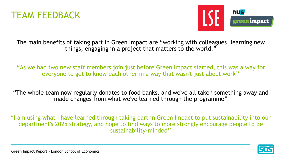



The main benefits of taking part in Green Impact are "working with colleagues, learning new things, engaging in a project that matters to the world."

*"*As we had two new staff members join just before Green Impact started, this was a way for everyone to get to know each other in a way that wasn't just about work''

"The whole team now regularly donates to food banks, and we've all taken something away and made changes from what we've learned through the programme"

"I am using what I have learned through taking part in Green Impact to put sustainability into our department's 2025 strategy, and hope to find ways to more strongly encourage people to be sustainability-minded''